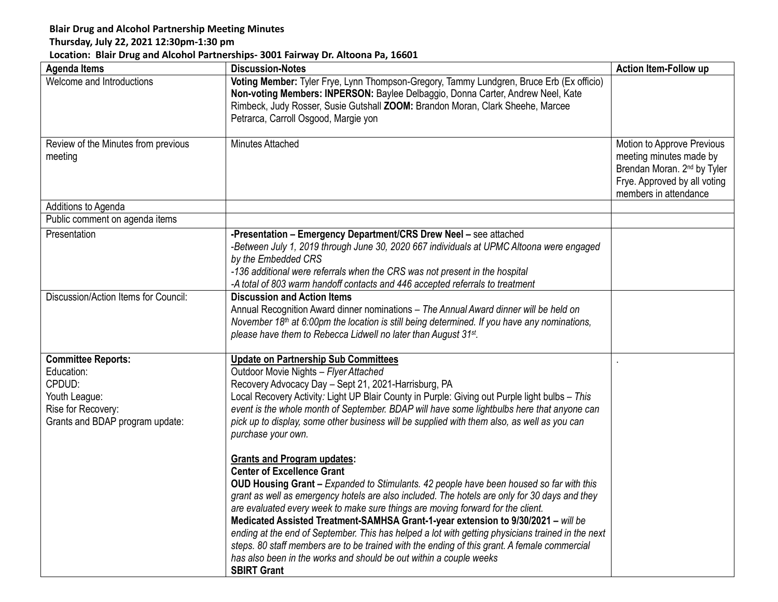## **Blair Drug and Alcohol Partnership Meeting Minutes**

## **Thursday, July 22, 2021 12:30pm-1:30 pm**

## **Location: Blair Drug and Alcohol Partnerships- 3001 Fairway Dr. Altoona Pa, 16601**

| <b>Agenda Items</b>                                                                                                  | <b>Discussion-Notes</b>                                                                                                                                                                                                                                                                                                                                                                                                                                                                                                                                                                                                                                                                                                                      | <b>Action Item-Follow up</b>                                                                                                                              |
|----------------------------------------------------------------------------------------------------------------------|----------------------------------------------------------------------------------------------------------------------------------------------------------------------------------------------------------------------------------------------------------------------------------------------------------------------------------------------------------------------------------------------------------------------------------------------------------------------------------------------------------------------------------------------------------------------------------------------------------------------------------------------------------------------------------------------------------------------------------------------|-----------------------------------------------------------------------------------------------------------------------------------------------------------|
| Welcome and Introductions                                                                                            | Voting Member: Tyler Frye, Lynn Thompson-Gregory, Tammy Lundgren, Bruce Erb (Ex officio)<br>Non-voting Members: INPERSON: Baylee Delbaggio, Donna Carter, Andrew Neel, Kate<br>Rimbeck, Judy Rosser, Susie Gutshall ZOOM: Brandon Moran, Clark Sheehe, Marcee<br>Petrarca, Carroll Osgood, Margie yon                                                                                                                                                                                                                                                                                                                                                                                                                                        |                                                                                                                                                           |
| Review of the Minutes from previous<br>meeting                                                                       | Minutes Attached                                                                                                                                                                                                                                                                                                                                                                                                                                                                                                                                                                                                                                                                                                                             | Motion to Approve Previous<br>meeting minutes made by<br>Brendan Moran. 2 <sup>nd</sup> by Tyler<br>Frye. Approved by all voting<br>members in attendance |
| Additions to Agenda                                                                                                  |                                                                                                                                                                                                                                                                                                                                                                                                                                                                                                                                                                                                                                                                                                                                              |                                                                                                                                                           |
| Public comment on agenda items                                                                                       |                                                                                                                                                                                                                                                                                                                                                                                                                                                                                                                                                                                                                                                                                                                                              |                                                                                                                                                           |
| Presentation                                                                                                         | -Presentation - Emergency Department/CRS Drew Neel - see attached<br>-Between July 1, 2019 through June 30, 2020 667 individuals at UPMC Altoona were engaged<br>by the Embedded CRS<br>-136 additional were referrals when the CRS was not present in the hospital<br>-A total of 803 warm handoff contacts and 446 accepted referrals to treatment                                                                                                                                                                                                                                                                                                                                                                                         |                                                                                                                                                           |
| Discussion/Action Items for Council:                                                                                 | <b>Discussion and Action Items</b><br>Annual Recognition Award dinner nominations - The Annual Award dinner will be held on<br>November 18 <sup>th</sup> at 6:00pm the location is still being determined. If you have any nominations,<br>please have them to Rebecca Lidwell no later than August 31st.                                                                                                                                                                                                                                                                                                                                                                                                                                    |                                                                                                                                                           |
| Committee Reports:<br>Education:<br>CPDUD:<br>Youth League:<br>Rise for Recovery:<br>Grants and BDAP program update: | <b>Update on Partnership Sub Committees</b><br>Outdoor Movie Nights - Flyer Attached<br>Recovery Advocacy Day - Sept 21, 2021-Harrisburg, PA<br>Local Recovery Activity: Light UP Blair County in Purple: Giving out Purple light bulbs - This<br>event is the whole month of September. BDAP will have some lightbulbs here that anyone can<br>pick up to display, some other business will be supplied with them also, as well as you can<br>purchase your own.                                                                                                                                                                                                                                                                            |                                                                                                                                                           |
|                                                                                                                      | <b>Grants and Program updates:</b><br><b>Center of Excellence Grant</b><br>OUD Housing Grant - Expanded to Stimulants. 42 people have been housed so far with this<br>grant as well as emergency hotels are also included. The hotels are only for 30 days and they<br>are evaluated every week to make sure things are moving forward for the client.<br>Medicated Assisted Treatment-SAMHSA Grant-1-year extension to 9/30/2021 - will be<br>ending at the end of September. This has helped a lot with getting physicians trained in the next<br>steps. 80 staff members are to be trained with the ending of this grant. A female commercial<br>has also been in the works and should be out within a couple weeks<br><b>SBIRT Grant</b> |                                                                                                                                                           |